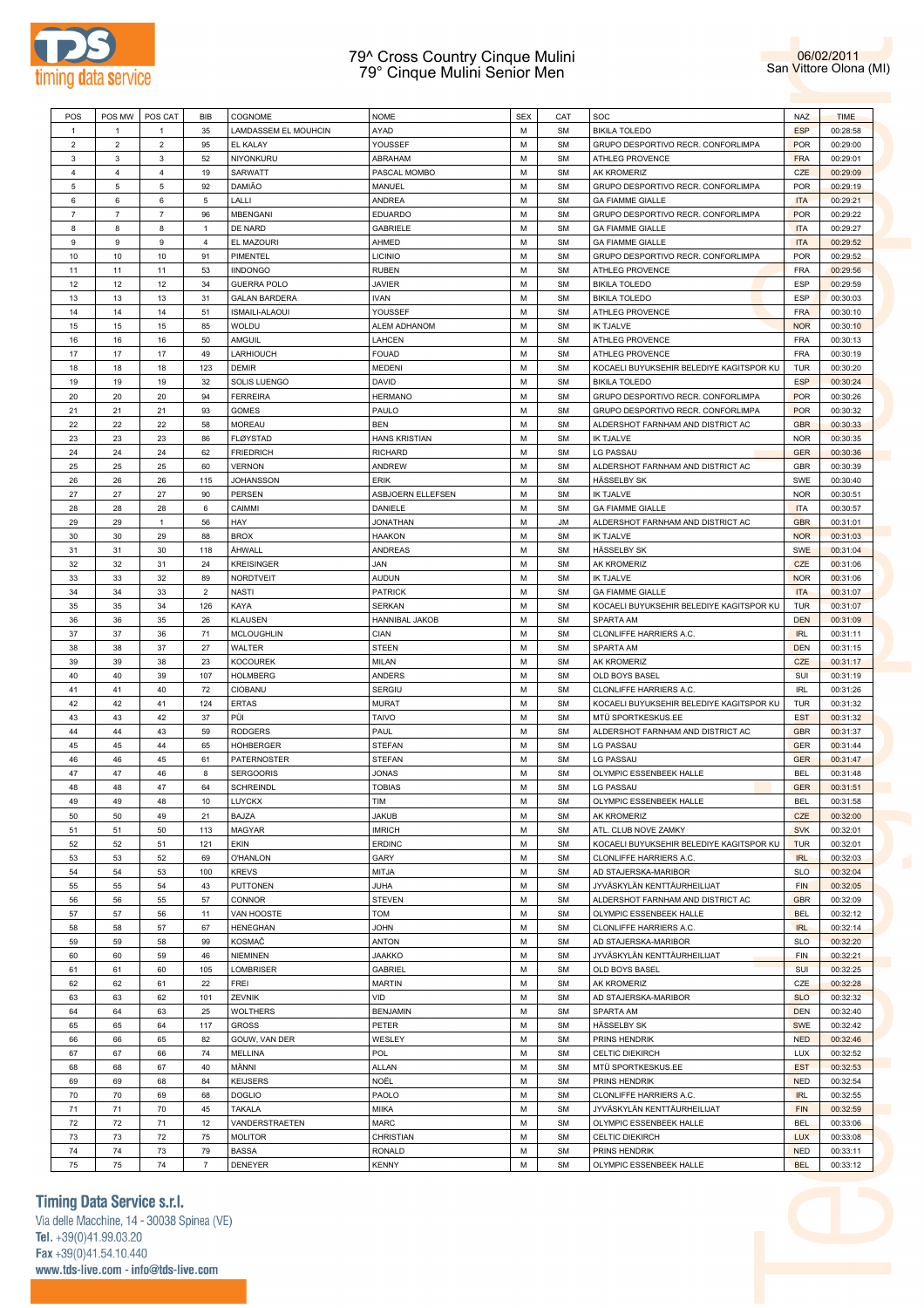

## 79^ Cross Country Cinque Mulini 79° Cinque Mulini Senior Men



| POS            | POS MW         | POS CAT        | <b>BIB</b>     | COGNOME               | <b>NOME</b>          | <b>SEX</b> | CAT       | SOC                                      | <b>NAZ</b> | <b>TIME</b> |
|----------------|----------------|----------------|----------------|-----------------------|----------------------|------------|-----------|------------------------------------------|------------|-------------|
| $\mathbf{1}$   | 1              | $\mathbf{1}$   | 35             | LAMDASSEM EL MOUHCIN  | AYAD                 | M          | <b>SM</b> | <b>BIKILA TOLEDO</b>                     | <b>ESP</b> | 00:28:58    |
| $\overline{2}$ | $\overline{2}$ | $\overline{2}$ | 95             | EL KALAY              | YOUSSEF              | M          | <b>SM</b> |                                          | <b>POR</b> | 00:29:00    |
|                |                |                |                |                       |                      |            |           | GRUPO DESPORTIVO RECR. CONFORLIMPA       |            |             |
| 3              | 3              | 3              | 52             | NIYONKURU             | ABRAHAM              | M          | <b>SM</b> | ATHLEG PROVENCE                          | <b>FRA</b> | 00:29:01    |
| $\overline{4}$ | 4              | $\overline{4}$ | 19             | SARWATT               | PASCAL MOMBO         | M          | <b>SM</b> | AK KROMERIZ                              | CZE        | 00:29:09    |
| $\overline{5}$ | 5              | 5              | 92             | DAMIÃO                | MANUEL               | M          | <b>SM</b> | GRUPO DESPORTIVO RECR. CONFORLIMPA       | <b>POR</b> | 00:29:19    |
| 6              | 6              | 6              | 5              | LALLI                 | ANDREA               | M          | <b>SM</b> | <b>GA FIAMME GIALLE</b>                  | <b>ITA</b> | 00:29:21    |
| $\overline{7}$ | $\overline{7}$ | $\overline{7}$ | 96             | <b>MBENGANI</b>       | EDUARDO              | M          | <b>SM</b> | GRUPO DESPORTIVO RECR. CONFORLIMPA       | <b>POR</b> | 00:29:22    |
| 8              | 8              | 8              | $\mathbf{1}$   | DE NARD               | GABRIELE             | M          | <b>SM</b> | <b>GA FIAMME GIALLE</b>                  | <b>ITA</b> | 00:29:27    |
| 9              | 9              | 9              | $\overline{4}$ | EL MAZOURI            | AHMED                | M          | <b>SM</b> | <b>GA FIAMME GIALLE</b>                  | <b>ITA</b> | 00:29:52    |
| 10             | 10             | 10             | 91             | PIMENTEL              | LICINIO              | M          |           |                                          | <b>POR</b> |             |
|                |                |                |                |                       |                      |            | <b>SM</b> | GRUPO DESPORTIVO RECR. CONFORLIMPA       |            | 00:29:52    |
| 11             | 11             | 11             | 53             | <b>IINDONGO</b>       | <b>RUBEN</b>         | M          | <b>SM</b> | <b>ATHLEG PROVENCE</b>                   | <b>FRA</b> | 00:29:56    |
| 12             | 12             | 12             | 34             | <b>GUERRA POLO</b>    | <b>JAVIER</b>        | M          | <b>SM</b> | <b>BIKILA TOLEDO</b>                     | <b>ESP</b> | 00:29:59    |
| 13             | 13             | 13             | 31             | <b>GALAN BARDERA</b>  | <b>IVAN</b>          | M          | <b>SM</b> | <b>BIKILA TOLEDO</b>                     | ESP        | 00:30:03    |
| 14             | 14             | 14             | 51             | <b>ISMAILI-ALAOUI</b> | YOUSSEF              | M          | <b>SM</b> | ATHLEG PROVENCE                          | <b>FRA</b> | 00:30:10    |
| 15             | 15             | 15             | 85             | WOLDU                 | <b>ALEM ADHANOM</b>  | M          | <b>SM</b> | <b>IK TJALVE</b>                         | <b>NOR</b> | 00:30:10    |
| 16             | 16             | 16             | 50             | AMGUIL                | LAHCEN               | М          | <b>SM</b> | ATHLEG PROVENCE                          | <b>FRA</b> | 00:30:13    |
| 17             | 17             | 17             | 49             | LARHIOUCH             | FOUAD                | M          | <b>SM</b> | <b>ATHLEG PROVENCE</b>                   | FRA        | 00:30:19    |
|                | 18             |                |                | <b>DEMIR</b>          | MEDENI               | M          | <b>SM</b> |                                          | <b>TUR</b> |             |
| 18             |                | 18             | 123            |                       |                      |            |           | KOCAELI BUYUKSEHIR BELEDIYE KAGITSPOR KU |            | 00:30:20    |
| 19             | 19             | 19             | 32             | <b>SOLIS LUENGO</b>   | DAVID                | M          | <b>SM</b> | <b>BIKILA TOLEDO</b>                     | <b>ESP</b> | 00:30:24    |
| 20             | 20             | 20             | 94             | <b>FERREIRA</b>       | <b>HERMANO</b>       | М          | <b>SM</b> | GRUPO DESPORTIVO RECR. CONFORLIMPA       | <b>POR</b> | 00:30:26    |
| 21             | 21             | 21             | 93             | GOMES                 | PAULO                | M          | <b>SM</b> | GRUPO DESPORTIVO RECR. CONFORLIMPA       | <b>POR</b> | 00:30:32    |
| 22             | 22             | 22             | 58             | <b>MOREAU</b>         | BEN                  | M          | <b>SM</b> | ALDERSHOT FARNHAM AND DISTRICT AC        | <b>GBR</b> | 00:30:33    |
| 23             | 23             | 23             | 86             | <b>FLØYSTAD</b>       | <b>HANS KRISTIAN</b> | M          | <b>SM</b> | <b>IK TJALVE</b>                         | <b>NOR</b> | 00:30:35    |
| 24             | 24             | 24             | 62             | <b>FRIEDRICH</b>      | <b>RICHARD</b>       | M          | <b>SM</b> | LG PASSAU                                | <b>GER</b> | 00:30:36    |
| 25             | 25             | 25             | 60             | <b>VERNON</b>         | ANDREW               | M          | <b>SM</b> | ALDERSHOT FARNHAM AND DISTRICT AC        | <b>GBR</b> | 00:30:39    |
|                |                |                |                |                       |                      |            |           |                                          |            |             |
| 26             | 26             | 26             | 115            | <b>JOHANSSON</b>      | ERIK                 | M          | <b>SM</b> | HÄSSELBY SK                              | SWE        | 00:30:40    |
| 27             | 27             | 27             | 90             | <b>PERSEN</b>         | ASBJOERN ELLEFSEN    | M          | SM        | <b>IK TJALVE</b>                         | <b>NOR</b> | 00:30:51    |
| 28             | 28             | 28             | 6              | CAIMMI                | DANIELE              | M          | <b>SM</b> | <b>GA FIAMME GIALLE</b>                  | <b>ITA</b> | 00:30:57    |
| 29             | 29             | $\mathbf{1}$   | 56             | HAY                   | <b>JONATHAN</b>      | M          | <b>JM</b> | ALDERSHOT FARNHAM AND DISTRICT AC        | <b>GBR</b> | 00:31:01    |
| 30             | 30             | 29             | 88             | <b>BROX</b>           | <b>HAAKON</b>        | M          | <b>SM</b> | <b>IK TJALVE</b>                         | <b>NOR</b> | 00:31:03    |
| 31             | 31             | 30             | 118            | ÅHWALL                | ANDREAS              | M          | SM        | <b>HÄSSELBY SK</b>                       | <b>SWE</b> | 00:31:04    |
| 32             | 32             | 31             | 24             | <b>KREISINGER</b>     | JAN                  | M          | <b>SM</b> | AK KROMERIZ                              | CZE        | 00:31:06    |
| 33             | 33             | 32             | 89             | NORDTVEIT             | AUDUN                | M          | <b>SM</b> | <b>IK TJALVE</b>                         | <b>NOR</b> | 00:31:06    |
|                |                |                |                |                       |                      |            |           |                                          |            |             |
| 34             | 34             | 33             | $\overline{2}$ | <b>NASTI</b>          | <b>PATRICK</b>       | М          | <b>SM</b> | <b>GA FIAMME GIALLE</b>                  | <b>ITA</b> | 00:31:07    |
| 35             | 35             | 34             | 126            | KAYA                  | <b>SERKAN</b>        | M          | SM        | KOCAELI BUYUKSEHIR BELEDIYE KAGITSPOR KU | <b>TUR</b> | 00:31:07    |
| 36             | 36             | 35             | 26             | <b>KLAUSEN</b>        | HANNIBAL JAKOB       | M          | <b>SM</b> | SPARTA AM                                | <b>DEN</b> | 00:31:09    |
| 37             | 37             | 36             | 71             | <b>MCLOUGHLIN</b>     | CIAN                 | M          | SM        | CLONLIFFE HARRIERS A.C.                  | <b>IRL</b> | 00:31:11    |
| 38             | 38             | 37             | 27             | WALTER                | <b>STEEN</b>         | М          | <b>SM</b> | SPARTA AM                                | <b>DEN</b> | 00:31:15    |
| 39             | 39             | 38             | 23             | <b>KOCOUREK</b>       | MILAN                | M          | SM        | AK KROMERIZ                              | CZE        | 00:31:17    |
| 40             | 40             | 39             | 107            | <b>HOLMBERG</b>       | ANDERS               | M          | <b>SM</b> | OLD BOYS BASEL                           | SUI        | 00:31:19    |
| 41             | 41             | 40             | 72             | CIOBANU               | SERGIU               | M          | SM        | CLONLIFFE HARRIERS A.C.                  | <b>IRL</b> | 00:31:26    |
|                |                |                |                | <b>ERTAS</b>          |                      | M          |           |                                          |            |             |
| 42             | 42             | 41             | 124            |                       | <b>MURAT</b>         |            | <b>SM</b> | KOCAELI BUYUKSEHIR BELEDIYE KAGITSPOR KU | <b>TUR</b> | 00:31:32    |
| 43             | 43             | 42             | 37             | PÜI                   | <b>TAIVO</b>         | M          | <b>SM</b> | MTÜ SPORTKESKUS.EE                       | <b>EST</b> | 00:31:32    |
| 44             | 44             | 43             | 59             | <b>RODGERS</b>        | PAUL                 | M          | <b>SM</b> | ALDERSHOT FARNHAM AND DISTRICT AC        | <b>GBR</b> | 00:31:37    |
| 45             | 45             | 44             | 65             | <b>HOHBERGER</b>      | <b>STEFAN</b>        | M          | SM        | <b>LG PASSAU</b>                         | <b>GER</b> | 00:31:44    |
| 46             | 46             | 45             | 61             | PATERNOSTER           | <b>STEFAN</b>        | М          | <b>SM</b> | LG PASSAU                                | <b>GER</b> | 00:31:47    |
| 47             | 47             | 46             | 8              | <b>SERGOORIS</b>      | JONAS                | M          | <b>SM</b> | OLYMPIC ESSENBEEK HALLE                  | <b>BEL</b> | 00:31:48    |
| 48             | 48             | 47             | 64             | <b>SCHREINDL</b>      | <b>TOBIAS</b>        | M          | <b>SM</b> | LG PASSAU                                | <b>GER</b> | 00:31:51    |
| 49             | 49             | 48             | 10             | LUYCKX                | TIM                  | M          | <b>SM</b> | OLYMPIC ESSENBEEK HALLE                  | <b>BEL</b> | 00:31:58    |
| 50             | 50             | 49             | 21             | BAJZA                 | JAKUB                | М          | <b>SM</b> | AK KROMERIZ                              | CZE        | 00:32:00    |
|                |                |                |                |                       |                      |            |           |                                          |            |             |
| 51             | 51             | 50             | 113            | <b>MAGYAR</b>         | <b>IMRICH</b>        | M          | <b>SM</b> | ATL. CLUB NOVE ZAMKY                     | <b>SVK</b> | 00:32:01    |
| 52             | 52             | 51             | 121            | EKIN                  | ERDINC               | М          | <b>SM</b> | KOCAELI BUYUKSEHIR BELEDIYE KAGITSPOR KU | <b>TUR</b> | 00:32:01    |
| 53             | 53             | 52             | 69             | O'HANLON              | GARY                 | М          | <b>SM</b> | CLONLIFFE HARRIERS A.C.                  | <b>IRL</b> | 00:32:03    |
| 54             | 54             | 53             | 100            | <b>KREVS</b>          | MITJA                | М          | <b>SM</b> | AD STAJERSKA-MARIBOR                     | <b>SLO</b> | 00:32:04    |
| 55             | 55             | 54             | 43             | <b>PUTTONEN</b>       | JUHA                 | М          | <b>SM</b> | JYVÄSKYLÄN KENTTÄURHEILIJAT              | <b>FIN</b> | 00:32:05    |
| 56             | 56             | 55             | 57             | <b>CONNOR</b>         | <b>STEVEN</b>        | M          | <b>SM</b> | ALDERSHOT FARNHAM AND DISTRICT AC        | <b>GBR</b> | 00:32:09    |
| 57             | 57             | 56             | 11             | VAN HOOSTE            | <b>TOM</b>           | М          | <b>SM</b> | OLYMPIC ESSENBEEK HALLE                  | <b>BEL</b> | 00:32:12    |
| 58             | 58             | 57             | 67             | <b>HENEGHAN</b>       | JOHN                 | M          | <b>SM</b> | CLONLIFFE HARRIERS A.C.                  | <b>IRL</b> | 00:32:14    |
|                |                |                |                |                       |                      |            |           | AD STAJERSKA-MARIBOR                     |            |             |
| 59             | 59             | 58             | 99             | <b>KOSMAČ</b>         | <b>ANTON</b>         | М          | <b>SM</b> |                                          | <b>SLO</b> | 00:32:20    |
| 60             | 60             | 59             | 46             | <b>NIEMINEN</b>       | JAAKKO               | M          | <b>SM</b> | JYVÄSKYLÄN KENTTÄURHEILIJAT              | <b>FIN</b> | 00:32:21    |
| 61             | 61             | 60             | 105            | <b>LOMBRISER</b>      | <b>GABRIEL</b>       | М          | <b>SM</b> | OLD BOYS BASEL                           | SUI        | 00:32:25    |
| 62             | 62             | 61             | 22             | FREI                  | MARTIN               | M          | <b>SM</b> | AK KROMERIZ                              | CZE        | 00:32:28    |
| 63             | 63             | 62             | 101            | ZEVNIK                | VID                  | М          | <b>SM</b> | AD STAJERSKA-MARIBOR                     | <b>SLO</b> | 00:32:32    |
| 64             | 64             | 63             | 25             | <b>WOLTHERS</b>       | <b>BENJAMIN</b>      | M          | <b>SM</b> | SPARTA AM                                | <b>DEN</b> | 00:32:40    |
| 65             | 65             | 64             | 117            | <b>GROSS</b>          | PETER                | М          | <b>SM</b> | HÄSSELBY SK                              | <b>SWE</b> | 00:32:42    |
|                |                |                |                |                       |                      | M          |           |                                          |            |             |
| 66             | 66             | 65             | 82             | GOUW, VAN DER         | WESLEY               |            | <b>SM</b> | PRINS HENDRIK                            | <b>NED</b> | 00:32:46    |
| 67             | 67             | 66             | 74             | <b>MELLINA</b>        | POL                  | М          | <b>SM</b> | <b>CELTIC DIEKIRCH</b>                   | <b>LUX</b> | 00:32:52    |
| 68             | 68             | 67             | 40             | MÄNNI                 | ALLAN                | M          | <b>SM</b> | MTÜ SPORTKESKUS.EE                       | <b>EST</b> | 00:32:53    |
| 69             | 69             | 68             | 84             | <b>KEIJSERS</b>       | NOËL                 | М          | <b>SM</b> | PRINS HENDRIK                            | <b>NED</b> | 00:32:54    |
| 70             | 70             | 69             | 68             | <b>DOGLIO</b>         | PAOLO                | М          | <b>SM</b> | CLONLIFFE HARRIERS A.C.                  | <b>IRL</b> | 00:32:55    |
| 71             | 71             | 70             | 45             | TAKALA                | MIIKA                | М          | <b>SM</b> | JYVÄSKYLÄN KENTTÄURHEILIJAT              | <b>FIN</b> | 00:32:59    |
| 72             | 72             | 71             | 12             | VANDERSTRAETEN        | MARC                 | M          | <b>SM</b> | OLYMPIC ESSENBEEK HALLE                  | <b>BEL</b> | 00:33:06    |
|                |                |                |                |                       |                      |            |           |                                          |            |             |
| 73             | 73             | 72             | 75             | <b>MOLITOR</b>        | CHRISTIAN            | М          | <b>SM</b> | <b>CELTIC DIEKIRCH</b>                   | LUX        | 00:33:08    |
| 74             | 74             | 73             | 79             | <b>BASSA</b>          | <b>RONALD</b>        | М          | <b>SM</b> | PRINS HENDRIK                            | <b>NED</b> | 00:33:11    |
| 75             | 75             | 74             | $\overline{7}$ | <b>DENEYER</b>        | <b>KENNY</b>         | М          | <b>SM</b> | OLYMPIC ESSENBEEK HALLE                  | <b>BEL</b> | 00:33:12    |

## **Timing Data Service s.r.l.**

Via delle Macchine, 14 - 30038 Spinea (VE) Tel. +39(0)41.99.03.20 Fax +39(0)41.54.10.440 www.tds-live.com - info@tds-live.com